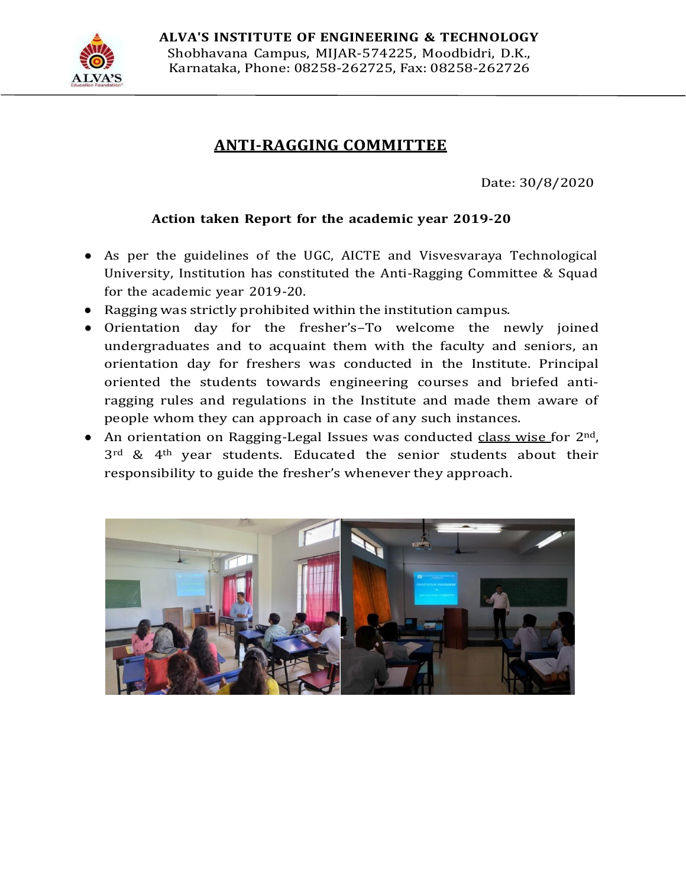

## **ANTI-RAGGING COMMITTEE**

Date: 30/8/2020

## **Action taken Report for the academic year 2019-20**

- As per the guidelines of the UGC, AICTE and Visvesvaraya Technological University, Institution has constituted the Anti-Ragging Committee & Squad for the academic year 2019-20.
- Ragging was strictly prohibited within the institution campus.
- Orientation day for the fresher's–To welcome the newly joined undergraduates and to acquaint them with the faculty and seniors, an orientation day for freshers was conducted in the Institute. Principal oriented the students towards engineering courses and briefed antiragging rules and regulations in the Institute and made them aware of people whom they can approach in case of any such instances.
- An orientation on Ragging-Legal Issues was conducted class wise for  $2<sup>nd</sup>$ ,  $3<sup>rd</sup>$  & 4<sup>th</sup> year students. Educated the senior students about their responsibility to guide the fresher's whenever they approach.